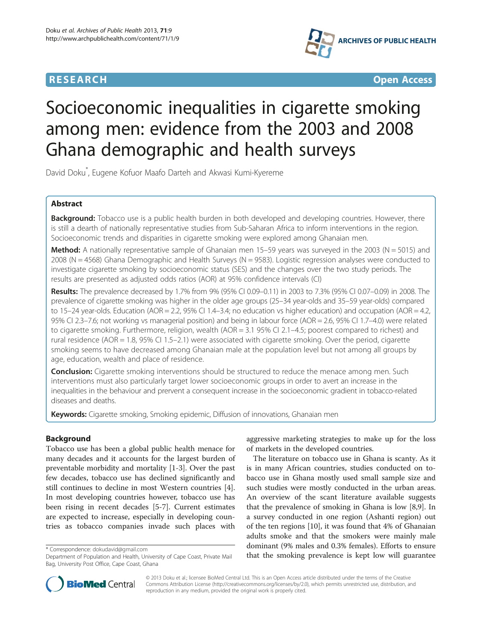# **RESEARCH RESEARCH** *CHECK CHECK CHECK CHECK CHECK CHECK CHECK CHECK CHECK CHECK CHECK CHECK CHECK CHECK CHECK CHECK CHECK CHECK CHECK CHECK CHECK CHECK CHECK CHECK CHECK CHECK CHECK CHECK CHECK CHECK CHECK CHECK CHECK*



# Socioeconomic inequalities in cigarette smoking among men: evidence from the 2003 and 2008 Ghana demographic and health surveys

David Doku\* , Eugene Kofuor Maafo Darteh and Akwasi Kumi-Kyereme

# Abstract

Background: Tobacco use is a public health burden in both developed and developing countries. However, there is still a dearth of nationally representative studies from Sub-Saharan Africa to inform interventions in the region. Socioeconomic trends and disparities in cigarette smoking were explored among Ghanaian men.

**Method:** A nationally representative sample of Ghanaian men 15–59 years was surveyed in the 2003 ( $N = 5015$ ) and 2008 (N = 4568) Ghana Demographic and Health Surveys (N = 9583). Logistic regression analyses were conducted to investigate cigarette smoking by socioeconomic status (SES) and the changes over the two study periods. The results are presented as adjusted odds ratios (AOR) at 95% confidence intervals (CI)

Results: The prevalence decreased by 1.7% from 9% (95% CI 0.09–0.11) in 2003 to 7.3% (95% CI 0.07–0.09) in 2008. The prevalence of cigarette smoking was higher in the older age groups (25–34 year-olds and 35–59 year-olds) compared to 15–24 year-olds. Education (AOR = 2.2, 95% CI 1.4–3.4; no education vs higher education) and occupation (AOR = 4.2, 95% CI 2.3–7.6; not working vs managerial position) and being in labour force (AOR = 2.6, 95% CI 1.7–4.0) were related to cigarette smoking. Furthermore, religion, wealth (AOR = 3.1 95% CI 2.1–4.5; poorest compared to richest) and rural residence (AOR = 1.8, 95% CI 1.5–2.1) were associated with cigarette smoking. Over the period, cigarette smoking seems to have decreased among Ghanaian male at the population level but not among all groups by age, education, wealth and place of residence.

**Conclusion:** Cigarette smoking interventions should be structured to reduce the menace among men. Such interventions must also particularly target lower socioeconomic groups in order to avert an increase in the inequalities in the behaviour and prervent a consequent increase in the socioeconomic gradient in tobacco-related diseases and deaths.

Keywords: Cigarette smoking, Smoking epidemic, Diffusion of innovations, Ghanaian men

# **Background**

Tobacco use has been a global public health menace for many decades and it accounts for the largest burden of preventable morbidity and mortality [\[1](#page-6-0)-[3\]](#page-6-0). Over the past few decades, tobacco use has declined significantly and still continues to decline in most Western countries [\[4](#page-6-0)]. In most developing countries however, tobacco use has been rising in recent decades [[5-7](#page-6-0)]. Current estimates are expected to increase, especially in developing countries as tobacco companies invade such places with

aggressive marketing strategies to make up for the loss of markets in the developed countries.

The literature on tobacco use in Ghana is scanty. As it is in many African countries, studies conducted on tobacco use in Ghana mostly used small sample size and such studies were mostly conducted in the urban areas. An overview of the scant literature available suggests that the prevalence of smoking in Ghana is low [\[8,9](#page-6-0)]. In a survey conducted in one region (Ashanti region) out of the ten regions [\[10\]](#page-6-0), it was found that 4% of Ghanaian adults smoke and that the smokers were mainly male dominant (9% males and 0.3% females). Efforts to ensure \* Correspondence: [dokudavid@gmail.com](mailto:dokudavid@gmail.com)<br>Department of Population and Health, University of Cape Coast, Private Mail building prevalence is kept low will guarantee



© 2013 Doku et al.; licensee BioMed Central Ltd. This is an Open Access article distributed under the terms of the Creative Commons Attribution License [\(http://creativecommons.org/licenses/by/2.0\)](http://creativecommons.org/licenses/by/2.0), which permits unrestricted use, distribution, and reproduction in any medium, provided the original work is properly cited.

Bag, University Post Office, Cape Coast, Ghana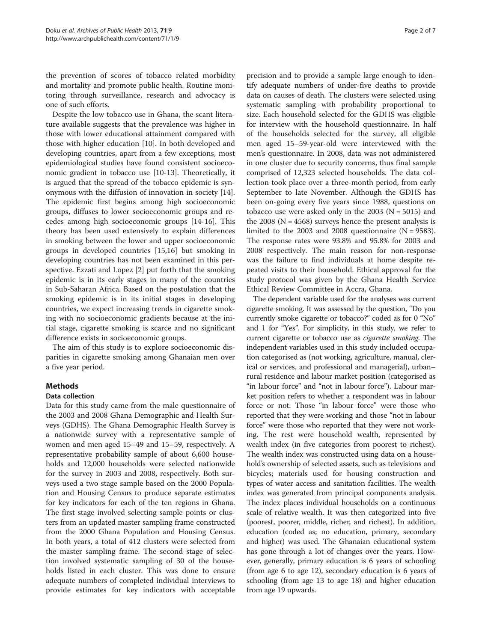the prevention of scores of tobacco related morbidity and mortality and promote public health. Routine monitoring through surveillance, research and advocacy is one of such efforts.

Despite the low tobacco use in Ghana, the scant literature available suggests that the prevalence was higher in those with lower educational attainment compared with those with higher education [[10\]](#page-6-0). In both developed and developing countries, apart from a few exceptions, most epidemiological studies have found consistent socioeconomic gradient in tobacco use [[10-13\]](#page-6-0). Theoretically, it is argued that the spread of the tobacco epidemic is synonymous with the diffusion of innovation in society [\[14](#page-6-0)]. The epidemic first begins among high socioeconomic groups, diffuses to lower socioeconomic groups and recedes among high socioeconomic groups [\[14](#page-6-0)-[16](#page-6-0)]. This theory has been used extensively to explain differences in smoking between the lower and upper socioeconomic groups in developed countries [\[15,16](#page-6-0)] but smoking in developing countries has not been examined in this perspective. Ezzati and Lopez [\[2](#page-6-0)] put forth that the smoking epidemic is in its early stages in many of the countries in Sub-Saharan Africa. Based on the postulation that the smoking epidemic is in its initial stages in developing countries, we expect increasing trends in cigarette smoking with no socioeconomic gradients because at the initial stage, cigarette smoking is scarce and no significant difference exists in socioeconomic groups.

The aim of this study is to explore socioeconomic disparities in cigarette smoking among Ghanaian men over a five year period.

# **Methods**

### Data collection

Data for this study came from the male questionnaire of the 2003 and 2008 Ghana Demographic and Health Surveys (GDHS). The Ghana Demographic Health Survey is a nationwide survey with a representative sample of women and men aged 15–49 and 15–59, respectively. A representative probability sample of about 6,600 households and 12,000 households were selected nationwide for the survey in 2003 and 2008, respectively. Both surveys used a two stage sample based on the 2000 Population and Housing Census to produce separate estimates for key indicators for each of the ten regions in Ghana. The first stage involved selecting sample points or clusters from an updated master sampling frame constructed from the 2000 Ghana Population and Housing Census. In both years, a total of 412 clusters were selected from the master sampling frame. The second stage of selection involved systematic sampling of 30 of the households listed in each cluster. This was done to ensure adequate numbers of completed individual interviews to provide estimates for key indicators with acceptable

precision and to provide a sample large enough to identify adequate numbers of under-five deaths to provide data on causes of death. The clusters were selected using systematic sampling with probability proportional to size. Each household selected for the GDHS was eligible for interview with the household questionnaire. In half of the households selected for the survey, all eligible men aged 15–59-year-old were interviewed with the men's questionnaire. In 2008, data was not administered in one cluster due to security concerns, thus final sample comprised of 12,323 selected households. The data collection took place over a three-month period, from early September to late November. Although the GDHS has been on-going every five years since 1988, questions on tobacco use were asked only in the  $2003$  (N =  $5015$ ) and the 2008 ( $N = 4568$ ) surveys hence the present analysis is limited to the 2003 and 2008 questionnaire ( $N = 9583$ ). The response rates were 93.8% and 95.8% for 2003 and 2008 respectively. The main reason for non-response was the failure to find individuals at home despite repeated visits to their household. Ethical approval for the study protocol was given by the Ghana Health Service Ethical Review Committee in Accra, Ghana.

The dependent variable used for the analyses was current cigarette smoking. It was assessed by the question, "Do you currently smoke cigarette or tobacco?" coded as for 0 "No" and 1 for "Yes". For simplicity, in this study, we refer to current cigarette or tobacco use as cigarette smoking. The independent variables used in this study included occupation categorised as (not working, agriculture, manual, clerical or services, and professional and managerial), urban– rural residence and labour market position (categorised as "in labour force" and "not in labour force"). Labour market position refers to whether a respondent was in labour force or not. Those "in labour force" were those who reported that they were working and those "not in labour force" were those who reported that they were not working. The rest were household wealth, represented by wealth index (in five categories from poorest to richest). The wealth index was constructed using data on a household's ownership of selected assets, such as televisions and bicycles; materials used for housing construction and types of water access and sanitation facilities. The wealth index was generated from principal components analysis. The index places individual households on a continuous scale of relative wealth. It was then categorized into five (poorest, poorer, middle, richer, and richest). In addition, education (coded as; no education, primary, secondary and higher) was used. The Ghanaian educational system has gone through a lot of changes over the years. However, generally, primary education is 6 years of schooling (from age 6 to age 12), secondary education is 6 years of schooling (from age 13 to age 18) and higher education from age 19 upwards.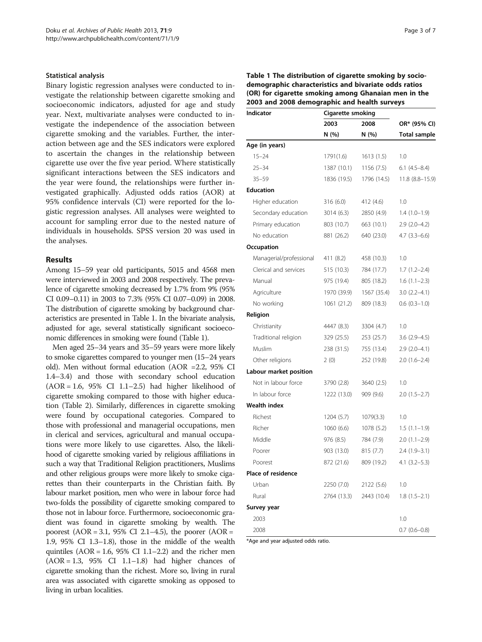#### Statistical analysis

Binary logistic regression analyses were conducted to investigate the relationship between cigarette smoking and socioeconomic indicators, adjusted for age and study year. Next, multivariate analyses were conducted to investigate the independence of the association between cigarette smoking and the variables. Further, the interaction between age and the SES indicators were explored to ascertain the changes in the relationship between cigarette use over the five year period. Where statistically significant interactions between the SES indicators and the year were found, the relationships were further investigated graphically. Adjusted odds ratios (AOR) at 95% confidence intervals (CI) were reported for the logistic regression analyses. All analyses were weighted to account for sampling error due to the nested nature of individuals in households. SPSS version 20 was used in the analyses.

### Results

Among 15–59 year old participants, 5015 and 4568 men were interviewed in 2003 and 2008 respectively. The prevalence of cigarette smoking decreased by 1.7% from 9% (95% CI 0.09–0.11) in 2003 to 7.3% (95% CI 0.07–0.09) in 2008. The distribution of cigarette smoking by background characteristics are presented in Table 1. In the bivariate analysis, adjusted for age, several statistically significant socioeconomic differences in smoking were found (Table 1).

Men aged 25–34 years and 35–59 years were more likely to smoke cigarettes compared to younger men (15–24 years old). Men without formal education (AOR =2.2, 95% CI 1.4–3.4) and those with secondary school education  $(AOR = 1.6, 95\% \text{ CI } 1.1-2.5)$  had higher likelihood of cigarette smoking compared to those with higher education (Table [2](#page-3-0)). Similarly, differences in cigarette smoking were found by occupational categories. Compared to those with professional and managerial occupations, men in clerical and services, agricultural and manual occupations were more likely to use cigarettes. Also, the likelihood of cigarette smoking varied by religious affiliations in such a way that Traditional Religion practitioners, Muslims and other religious groups were more likely to smoke cigarettes than their counterparts in the Christian faith. By labour market position, men who were in labour force had two-folds the possibility of cigarette smoking compared to those not in labour force. Furthermore, socioeconomic gradient was found in cigarette smoking by wealth. The poorest (AOR = 3.1, 95% CI 2.1–4.5), the poorer (AOR = 1.9, 95% CI 1.3–1.8), those in the middle of the wealth quintiles  $(AOR = 1.6, 95\% \text{ CI } 1.1-2.2)$  and the richer men  $(AOR = 1.3, 95\% \text{ CI } 1.1-1.8)$  had higher chances of cigarette smoking than the richest. More so, living in rural area was associated with cigarette smoking as opposed to living in urban localities.

| Table 1 The distribution of cigarette smoking by socio- |
|---------------------------------------------------------|
| demographic characteristics and bivariate odds ratios   |
| (OR) for cigarette smoking among Ghanaian men in the    |
| 2003 and 2008 demographic and health surveys            |
|                                                         |

| Indicator               | <b>Cigarette smoking</b> |             |                                     |  |
|-------------------------|--------------------------|-------------|-------------------------------------|--|
|                         | 2003                     | 2008        | OR* (95% CI)<br><b>Total sample</b> |  |
|                         | N (%)                    | N (%)       |                                     |  |
| Age (in years)          |                          |             |                                     |  |
| $15 - 24$               | 1791(1.6)                | 1613 (1.5)  | 1.0                                 |  |
| $25 - 34$               | 1387 (10.1)              | 1156(7.5)   | $6.1$ $(4.5-8.4)$                   |  |
| $35 - 59$               | 1836 (19.5)              | 1796 (14.5) | 11.8 (8.8-15.9)                     |  |
| <b>Education</b>        |                          |             |                                     |  |
| Higher education        | 316(6.0)                 | 412 (4.6)   | 1.0                                 |  |
| Secondary education     | 3014(6.3)                | 2850 (4.9)  | $1.4(1.0-1.9)$                      |  |
| Primary education       | 803 (10.7)               | 663 (10.1)  | $2.9(2.0-4.2)$                      |  |
| No education            | 881 (26.2)               | 640 (23.0)  | $4.7(3.3-6.6)$                      |  |
| Occupation              |                          |             |                                     |  |
| Managerial/professional | 411 (8.2)                | 458 (10.3)  | 1.0                                 |  |
| Clerical and services   | 515 (10.3)               | 784 (17.7)  | $1.7(1.2 - 2.4)$                    |  |
| Manual                  | 975 (19.4)               | 805 (18.2)  | $1.6(1.1-2.3)$                      |  |
| Agriculture             | 1970 (39.9)              | 1567 (35.4) | $3.0(2.2 - 4.1)$                    |  |
| No working              | 1061 (21.2)              | 809 (18.3)  | $0.6(0.3-1.0)$                      |  |
| Religion                |                          |             |                                     |  |
| Christianity            | 4447 (8.3)               | 3304 (4.7)  | 1.0                                 |  |
| Traditional religion    | 329 (25.5)               | 253 (25.7)  | $3.6(2.9 - 4.5)$                    |  |
| Muslim                  | 238 (31.5)               | 755 (13.4)  | $2.9(2.0-4.1)$                      |  |
| Other religions         | 2(0)                     | 252 (19.8)  | $2.0(1.6-2.4)$                      |  |
| Labour market position  |                          |             |                                     |  |
| Not in labour force     | 3790 (2.8)               | 3640 (2.5)  | 1.0                                 |  |
| In labour force         | 1222 (13.0)              | 909 (9.6)   | $2.0(1.5-2.7)$                      |  |
| <b>Wealth index</b>     |                          |             |                                     |  |
| Richest                 | 1204 (5.7)               | 1079(3.3)   | 1.0                                 |  |
| Richer                  | 1060 (6.6)               | 1078 (5.2)  | $1.5(1.1-1.9)$                      |  |
| Middle                  | 976 (8.5)                | 784 (7.9)   | $2.0(1.1-2.9)$                      |  |
| Poorer                  | 903 (13.0)               | 815 (7.7)   | $2.4(1.9-3.1)$                      |  |
| Poorest                 | 872 (21.6)               | 809 (19.2)  | $4.1(3.2 - 5.3)$                    |  |
| Place of residence      |                          |             |                                     |  |
| Urban                   | 2250 (7.0)               | 2122 (5.6)  | 1.0                                 |  |
| Rural                   | 2764 (13.3)              | 2443 (10.4) | $1.8(1.5-2.1)$                      |  |
| Survey year             |                          |             |                                     |  |
| 2003                    |                          |             | 1.0                                 |  |
| 2008                    |                          |             | $0.7$ $(0.6-0.8)$                   |  |

\*Age and year adjusted odds ratio.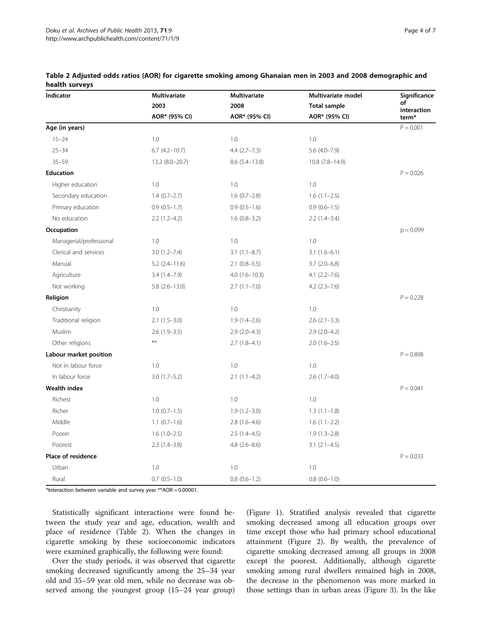| Indicator               | <b>Multivariate</b>  | <b>Multivariate</b>  | Multivariate model    | Significance<br>of<br>interaction<br>term* |  |
|-------------------------|----------------------|----------------------|-----------------------|--------------------------------------------|--|
|                         | 2003                 | 2008                 | <b>Total sample</b>   |                                            |  |
|                         | AOR* (95% CI)        | AOR* (95% CI)        | AOR* (95% CI)         |                                            |  |
| Age (in years)          |                      |                      |                       | $P = 0.001$                                |  |
| $15 - 24$               | 1.0                  | 1.0                  | 1.0                   |                                            |  |
| $25 - 34$               | $6.7$ $(4.2 - 10.7)$ | $4.4$ $(2.7-7.3)$    | $5.6(4.0-7.9)$        |                                            |  |
| $35 - 59$               | 13.2 (8.0-20.7)      | $8.6$ $(5.4 - 13.8)$ | 10.8 (7.8-14.9)       |                                            |  |
| <b>Education</b>        |                      |                      |                       | $P = 0.026$                                |  |
| Higher education        | 1.0                  | 1.0                  | 1.0                   |                                            |  |
| Secondary education     | $1.4(0.7-2.7)$       | $1.6(0.7-2.8)$       | $1.6(1.1-2.5)$        |                                            |  |
| Primary education       | $0.9(0.5-1.7)$       | $0.9(0.5-1.6)$       | $0.9(0.6-1.5)$        |                                            |  |
| No education            | $2.2(1.2-4.2)$       | $1.6(0.8-3.2)$       | $2.2(1.4-3.4)$        |                                            |  |
| Occupation              |                      |                      |                       | $p = 0.099$                                |  |
| Managerial/professional | 1.0                  | 1.0                  | 1.0                   |                                            |  |
| Clerical and services   | $3.0(1.2 - 7.4)$     | $3.1(1.1-8.7)$       | $3.1(1.6-6.1)$        |                                            |  |
| Manual                  | $5.2$ (2.4-11.6)     | $2.1(0.8-5.5)$       | $3.7(2.0-6.8)$        |                                            |  |
| Agriculture             | $3.4(1.4 - 7.9)$     | $4.0(1.6 - 10.3)$    | $4.1(2.2 - 7.6)$      |                                            |  |
| Not working             | $5.8$ $(2.6 - 13.0)$ | $2.7(1.1 - 7.0)$     | $4.2$ $(2.3 - 7.6)$   |                                            |  |
| Religion                |                      |                      |                       | $P = 0.228$                                |  |
| Christianity            | 1.0                  | 1.0                  | 1.0                   |                                            |  |
| Traditional religion    | $2.1(1.5-3.0)$       | $1.9(1.4-2.6)$       | $2.6$ ( $2.1 - 3.3$ ) |                                            |  |
| Muslim                  | $2.6(1.9-3.5)$       | $2.9(2.0-4.3)$       | $2.9(2.0-4.2)$        |                                            |  |
| Other religions         | $**$                 | $2.7(1.8-4.1)$       | $2.0(1.6-2.5)$        |                                            |  |
| Labour market position  |                      |                      |                       | $P = 0.898$                                |  |
| Not in labour force     | 1.0                  | 1.0                  | 1.0                   |                                            |  |
| In labour force         | $3.0(1.7-5.2)$       | $2.1(1.1-4.2)$       | $2.6(1.7-4.0)$        |                                            |  |
| <b>Wealth index</b>     |                      |                      |                       | $P = 0.041$                                |  |
| Richest                 | 1.0                  | 1.0                  | 1.0                   |                                            |  |
| Richer                  | $1.0(0.7-1.5)$       | $1.9(1.2 - 3.0)$     | $1.3(1.1-1.8)$        |                                            |  |
| Middle                  | $1.1(0.7-1.6)$       | $2.8(1.6-4.6)$       | $1.6(1.1-2.2)$        |                                            |  |
| Poorer                  | $1.6(1.0-2.5)$       | $2.5(1.4-4.5)$       | $1.9(1.3-2.8)$        |                                            |  |
| Poorest                 | $2.3(1.4-3.8)$       | $4.8$ $(2.6 - 8.6)$  | $3.1(2.1-4.5)$        |                                            |  |
| Place of residence      |                      |                      |                       | $P = 0.033$                                |  |
| Urban                   | 1.0                  | 1.0                  | 1.0                   |                                            |  |
| Rural                   | $0.7$ $(0.5-1.0)$    | $0.8$ $(0.6-1.2)$    | $0.8(0.6-1.0)$        |                                            |  |

<span id="page-3-0"></span>

| Table 2 Adjusted odds ratios (AOR) for cigarette smoking among Ghanaian men in 2003 and 2008 demographic and |  |  |  |  |
|--------------------------------------------------------------------------------------------------------------|--|--|--|--|
| health surveys                                                                                               |  |  |  |  |

\*Interaction between variable and survey year \*\*AOR = 0.00001.

Statistically significant interactions were found between the study year and age, education, wealth and place of residence (Table 2). When the changes in cigarette smoking by these socioeconomic indicators were examined graphically, the following were found:

Over the study periods, it was observed that cigarette smoking decreased significantly among the 25–34 year old and 35–59 year old men, while no decrease was observed among the youngest group (15–24 year group)

(Figure [1\)](#page-4-0). Stratified analysis revealed that cigarette smoking decreased among all education groups over time except those who had primary school educational attainment (Figure [2](#page-4-0)). By wealth, the prevalence of cigarette smoking decreased among all groups in 2008 except the poorest. Additionally, although cigarette smoking among rural dwellers remained high in 2008, the decrease in the phenomenon was more marked in those settings than in urban areas (Figure [3\)](#page-4-0). In the like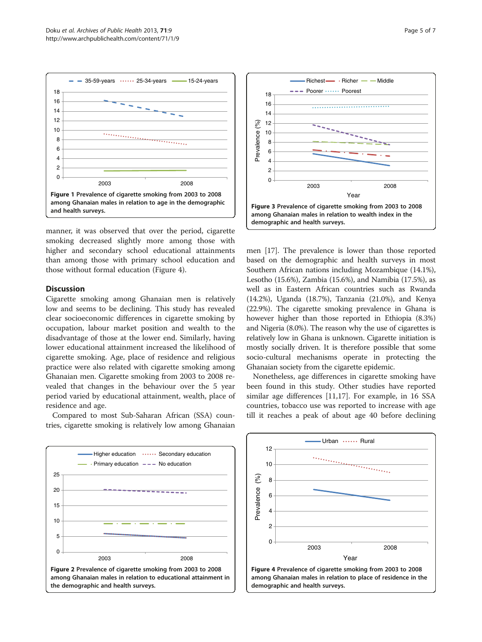<span id="page-4-0"></span>

manner, it was observed that over the period, cigarette smoking decreased slightly more among those with higher and secondary school educational attainments than among those with primary school education and those without formal education (Figure 4).

# **Discussion**

Cigarette smoking among Ghanaian men is relatively low and seems to be declining. This study has revealed clear socioeconomic differences in cigarette smoking by occupation, labour market position and wealth to the disadvantage of those at the lower end. Similarly, having lower educational attainment increased the likelihood of cigarette smoking. Age, place of residence and religious practice were also related with cigarette smoking among Ghanaian men. Cigarette smoking from 2003 to 2008 revealed that changes in the behaviour over the 5 year period varied by educational attainment, wealth, place of residence and age.

Compared to most Sub-Saharan African (SSA) countries, cigarette smoking is relatively low among Ghanaian





men [\[17\]](#page-6-0). The prevalence is lower than those reported based on the demographic and health surveys in most Southern African nations including Mozambique (14.1%), Lesotho (15.6%), Zambia (15.6%), and Namibia (17.5%), as well as in Eastern African countries such as Rwanda (14.2%), Uganda (18.7%), Tanzania (21.0%), and Kenya (22.9%). The cigarette smoking prevalence in Ghana is however higher than those reported in Ethiopia (8.3%) and Nigeria (8.0%). The reason why the use of cigarettes is relatively low in Ghana is unknown. Cigarette initiation is mostly socially driven. It is therefore possible that some socio-cultural mechanisms operate in protecting the Ghanaian society from the cigarette epidemic.

Nonetheless, age differences in cigarette smoking have been found in this study. Other studies have reported similar age differences [[11,17](#page-6-0)]. For example, in 16 SSA countries, tobacco use was reported to increase with age till it reaches a peak of about age 40 before declining



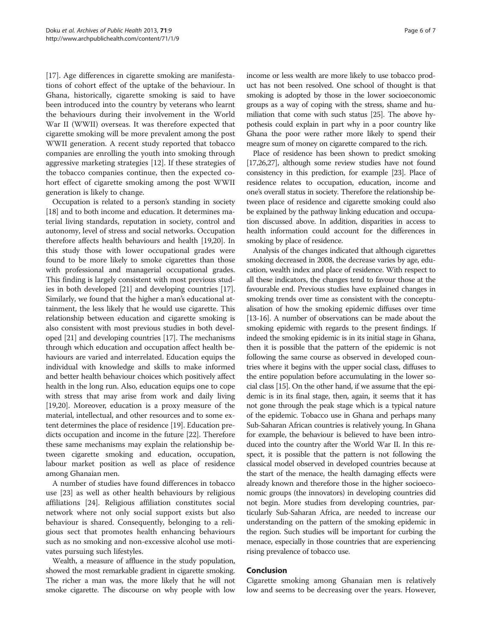[[17\]](#page-6-0). Age differences in cigarette smoking are manifestations of cohort effect of the uptake of the behaviour. In Ghana, historically, cigarette smoking is said to have been introduced into the country by veterans who learnt the behaviours during their involvement in the World War II (WWII) overseas. It was therefore expected that cigarette smoking will be more prevalent among the post WWII generation. A recent study reported that tobacco companies are enrolling the youth into smoking through aggressive marketing strategies [[12](#page-6-0)]. If these strategies of the tobacco companies continue, then the expected cohort effect of cigarette smoking among the post WWII generation is likely to change.

Occupation is related to a person's standing in society [[18](#page-6-0)] and to both income and education. It determines material living standards, reputation in society, control and autonomy, level of stress and social networks. Occupation therefore affects health behaviours and health [[19,20\]](#page-6-0). In this study those with lower occupational grades were found to be more likely to smoke cigarettes than those with professional and managerial occupational grades. This finding is largely consistent with most previous studies in both developed [[21](#page-6-0)] and developing countries [[17](#page-6-0)]. Similarly, we found that the higher a man's educational attainment, the less likely that he would use cigarette. This relationship between education and cigarette smoking is also consistent with most previous studies in both developed [\[21\]](#page-6-0) and developing countries [\[17](#page-6-0)]. The mechanisms through which education and occupation affect health behaviours are varied and interrelated. Education equips the individual with knowledge and skills to make informed and better health behaviour choices which positively affect health in the long run. Also, education equips one to cope with stress that may arise from work and daily living [[19,20](#page-6-0)]. Moreover, education is a proxy measure of the material, intellectual, and other resources and to some extent determines the place of residence [[19](#page-6-0)]. Education predicts occupation and income in the future [\[22\]](#page-6-0). Therefore these same mechanisms may explain the relationship between cigarette smoking and education, occupation, labour market position as well as place of residence among Ghanaian men.

A number of studies have found differences in tobacco use [\[23](#page-6-0)] as well as other health behaviours by religious affiliations [\[24](#page-6-0)]. Religious affiliation constitutes social network where not only social support exists but also behaviour is shared. Consequently, belonging to a religious sect that promotes health enhancing behaviours such as no smoking and non-excessive alcohol use motivates pursuing such lifestyles.

Wealth, a measure of affluence in the study population, showed the most remarkable gradient in cigarette smoking. The richer a man was, the more likely that he will not smoke cigarette. The discourse on why people with low income or less wealth are more likely to use tobacco product has not been resolved. One school of thought is that smoking is adopted by those in the lower socioeconomic groups as a way of coping with the stress, shame and humiliation that come with such status [\[25](#page-6-0)]. The above hypothesis could explain in part why in a poor country like Ghana the poor were rather more likely to spend their meagre sum of money on cigarette compared to the rich.

Place of residence has been shown to predict smoking [[17,26,27\]](#page-6-0), although some review studies have not found consistency in this prediction, for example [\[23](#page-6-0)]. Place of residence relates to occupation, education, income and one's overall status in society. Therefore the relationship between place of residence and cigarette smoking could also be explained by the pathway linking education and occupation discussed above. In addition, disparities in access to health information could account for the differences in smoking by place of residence.

Analysis of the changes indicated that although cigarettes smoking decreased in 2008, the decrease varies by age, education, wealth index and place of residence. With respect to all these indicators, the changes tend to favour those at the favourable end. Previous studies have explained changes in smoking trends over time as consistent with the conceptualisation of how the smoking epidemic diffuses over time [[13](#page-6-0)-[16](#page-6-0)]. A number of observations can be made about the smoking epidemic with regards to the present findings. If indeed the smoking epidemic is in its initial stage in Ghana, then it is possible that the pattern of the epidemic is not following the same course as observed in developed countries where it begins with the upper social class, diffuses to the entire population before accumulating in the lower social class [\[15](#page-6-0)]. On the other hand, if we assume that the epidemic is in its final stage, then, again, it seems that it has not gone through the peak stage which is a typical nature of the epidemic. Tobacco use in Ghana and perhaps many Sub-Saharan African countries is relatively young. In Ghana for example, the behaviour is believed to have been introduced into the country after the World War II. In this respect, it is possible that the pattern is not following the classical model observed in developed countries because at the start of the menace, the health damaging effects were already known and therefore those in the higher socioeconomic groups (the innovators) in developing countries did not begin. More studies from developing countries, particularly Sub-Saharan Africa, are needed to increase our understanding on the pattern of the smoking epidemic in the region. Such studies will be important for curbing the menace, especially in those countries that are experiencing rising prevalence of tobacco use.

### Conclusion

Cigarette smoking among Ghanaian men is relatively low and seems to be decreasing over the years. However,